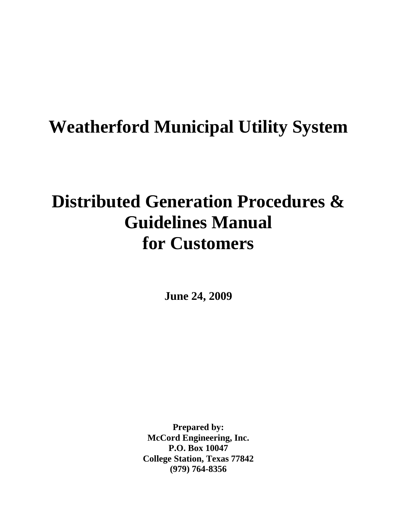# **Weatherford Municipal Utility System**

# **Distributed Generation Procedures & Guidelines Manual for Customers**

**June 24, 2009** 

**Prepared by: McCord Engineering, Inc. P.O. Box 10047 College Station, Texas 77842 (979) 764-8356**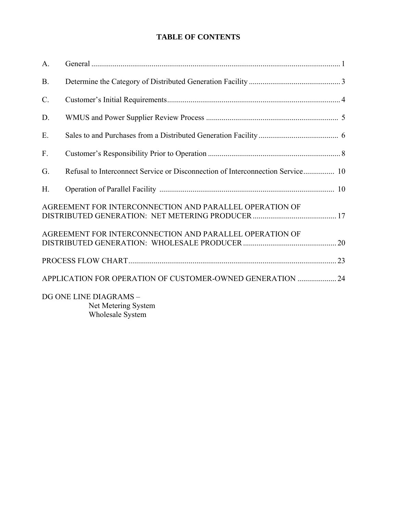# **TABLE OF CONTENTS**

| A.    |                                                                                |  |
|-------|--------------------------------------------------------------------------------|--|
| B.    |                                                                                |  |
| $C$ . |                                                                                |  |
| D.    |                                                                                |  |
| E.    |                                                                                |  |
| F.    |                                                                                |  |
| G.    | Refusal to Interconnect Service or Disconnection of Interconnection Service 10 |  |
| H.    |                                                                                |  |
|       | AGREEMENT FOR INTERCONNECTION AND PARALLEL OPERATION OF                        |  |
|       | AGREEMENT FOR INTERCONNECTION AND PARALLEL OPERATION OF                        |  |
|       |                                                                                |  |
|       | APPLICATION FOR OPERATION OF CUSTOMER-OWNED GENERATION  24                     |  |
|       | DG ONE LINE DIAGRAMS -<br>Net Metering System<br>Wholesale System              |  |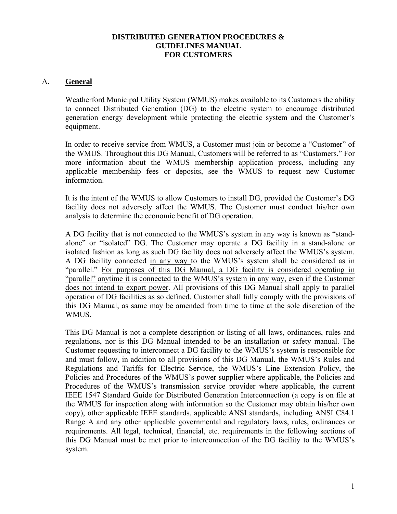#### **DISTRIBUTED GENERATION PROCEDURES & GUIDELINES MANUAL FOR CUSTOMERS**

#### A. **General**

Weatherford Municipal Utility System (WMUS) makes available to its Customers the ability to connect Distributed Generation (DG) to the electric system to encourage distributed generation energy development while protecting the electric system and the Customer's equipment.

In order to receive service from WMUS, a Customer must join or become a "Customer" of the WMUS. Throughout this DG Manual, Customers will be referred to as "Customers." For more information about the WMUS membership application process, including any applicable membership fees or deposits, see the WMUS to request new Customer information.

It is the intent of the WMUS to allow Customers to install DG, provided the Customer's DG facility does not adversely affect the WMUS. The Customer must conduct his/her own analysis to determine the economic benefit of DG operation.

A DG facility that is not connected to the WMUS's system in any way is known as "standalone" or "isolated" DG. The Customer may operate a DG facility in a stand-alone or isolated fashion as long as such DG facility does not adversely affect the WMUS's system. A DG facility connected in any way to the WMUS's system shall be considered as in "parallel." For purposes of this DG Manual, a DG facility is considered operating in "parallel" anytime it is connected to the WMUS's system in any way, even if the Customer does not intend to export power. All provisions of this DG Manual shall apply to parallel operation of DG facilities as so defined. Customer shall fully comply with the provisions of this DG Manual, as same may be amended from time to time at the sole discretion of the WMUS.

This DG Manual is not a complete description or listing of all laws, ordinances, rules and regulations, nor is this DG Manual intended to be an installation or safety manual. The Customer requesting to interconnect a DG facility to the WMUS's system is responsible for and must follow, in addition to all provisions of this DG Manual, the WMUS's Rules and Regulations and Tariffs for Electric Service, the WMUS's Line Extension Policy, the Policies and Procedures of the WMUS's power supplier where applicable, the Policies and Procedures of the WMUS's transmission service provider where applicable, the current IEEE 1547 Standard Guide for Distributed Generation Interconnection (a copy is on file at the WMUS for inspection along with information so the Customer may obtain his/her own copy), other applicable IEEE standards, applicable ANSI standards, including ANSI C84.1 Range A and any other applicable governmental and regulatory laws, rules, ordinances or requirements. All legal, technical, financial, etc. requirements in the following sections of this DG Manual must be met prior to interconnection of the DG facility to the WMUS's system.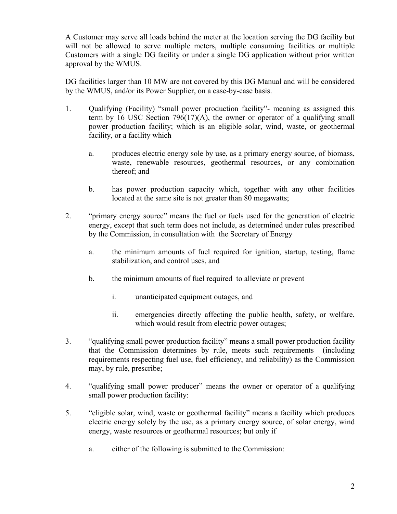A Customer may serve all loads behind the meter at the location serving the DG facility but will not be allowed to serve multiple meters, multiple consuming facilities or multiple Customers with a single DG facility or under a single DG application without prior written approval by the WMUS.

DG facilities larger than 10 MW are not covered by this DG Manual and will be considered by the WMUS, and/or its Power Supplier, on a case-by-case basis.

- 1. Qualifying (Facility) "small power production facility"- meaning as assigned this term by 16 USC Section  $796(17)(A)$ , the owner or operator of a qualifying small power production facility; which is an eligible solar, wind, waste, or geothermal facility, or a facility which
	- a. produces electric energy sole by use, as a primary energy source, of biomass, waste, renewable resources, geothermal resources, or any combination thereof; and
	- b. has power production capacity which, together with any other facilities located at the same site is not greater than 80 megawatts;
- 2. "primary energy source" means the fuel or fuels used for the generation of electric energy, except that such term does not include, as determined under rules prescribed by the Commission, in consultation with the Secretary of Energy
	- a. the minimum amounts of fuel required for ignition, startup, testing, flame stabilization, and control uses, and
	- b. the minimum amounts of fuel required to alleviate or prevent
		- i. unanticipated equipment outages, and
		- ii. emergencies directly affecting the public health, safety, or welfare, which would result from electric power outages;
- 3. "qualifying small power production facility" means a small power production facility that the Commission determines by rule, meets such requirements (including requirements respecting fuel use, fuel efficiency, and reliability) as the Commission may, by rule, prescribe;
- 4. "qualifying small power producer" means the owner or operator of a qualifying small power production facility:
- 5. "eligible solar, wind, waste or geothermal facility" means a facility which produces electric energy solely by the use, as a primary energy source, of solar energy, wind energy, waste resources or geothermal resources; but only if
	- a. either of the following is submitted to the Commission: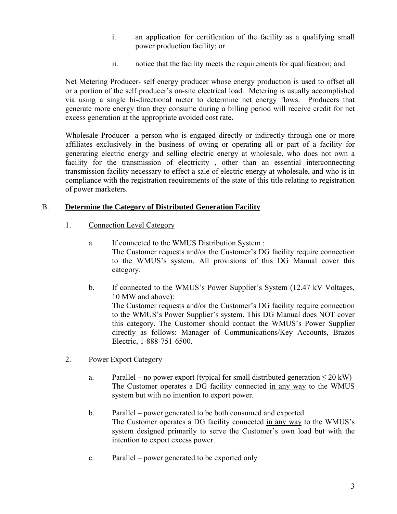- i. an application for certification of the facility as a qualifying small power production facility; or
- ii. notice that the facility meets the requirements for qualification; and

Net Metering Producer- self energy producer whose energy production is used to offset all or a portion of the self producer's on-site electrical load. Metering is usually accomplished via using a single bi-directional meter to determine net energy flows. Producers that generate more energy than they consume during a billing period will receive credit for net excess generation at the appropriate avoided cost rate.

Wholesale Producer- a person who is engaged directly or indirectly through one or more affiliates exclusively in the business of owing or operating all or part of a facility for generating electric energy and selling electric energy at wholesale, who does not own a facility for the transmission of electricity , other than an essential interconnecting transmission facility necessary to effect a sale of electric energy at wholesale, and who is in compliance with the registration requirements of the state of this title relating to registration of power marketers.

# B. **Determine the Category of Distributed Generation Facility**

- 1. Connection Level Category
	- a. If connected to the WMUS Distribution System : The Customer requests and/or the Customer's DG facility require connection to the WMUS's system. All provisions of this DG Manual cover this category.
	- b. If connected to the WMUS's Power Supplier's System (12.47 kV Voltages, 10 MW and above): The Customer requests and/or the Customer's DG facility require connection to the WMUS's Power Supplier's system. This DG Manual does NOT cover this category. The Customer should contact the WMUS's Power Supplier directly as follows: Manager of Communications/Key Accounts, Brazos Electric, 1-888-751-6500.
- 2. Power Export Category
	- a. Parallel no power export (typical for small distributed generation  $\leq 20$  kW) The Customer operates a DG facility connected in any way to the WMUS system but with no intention to export power.
	- b. Parallel power generated to be both consumed and exported The Customer operates a DG facility connected in any way to the WMUS's system designed primarily to serve the Customer's own load but with the intention to export excess power.
	- c. Parallel power generated to be exported only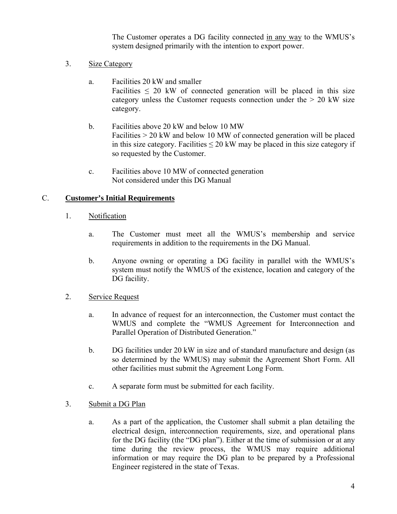The Customer operates a DG facility connected in any way to the WMUS's system designed primarily with the intention to export power.

- 3. Size Category
	- a. Facilities 20 kW and smaller Facilities  $\leq$  20 kW of connected generation will be placed in this size category unless the Customer requests connection under the  $> 20$  kW size category.
	- b. Facilities above 20 kW and below 10 MW Facilities > 20 kW and below 10 MW of connected generation will be placed in this size category. Facilities  $\leq 20$  kW may be placed in this size category if so requested by the Customer.
	- c. Facilities above 10 MW of connected generation Not considered under this DG Manual

# C. **Customer's Initial Requirements**

- 1. Notification
	- a. The Customer must meet all the WMUS's membership and service requirements in addition to the requirements in the DG Manual.
	- b. Anyone owning or operating a DG facility in parallel with the WMUS's system must notify the WMUS of the existence, location and category of the DG facility.
- 2. Service Request
	- a. In advance of request for an interconnection, the Customer must contact the WMUS and complete the "WMUS Agreement for Interconnection and Parallel Operation of Distributed Generation."
	- b. DG facilities under 20 kW in size and of standard manufacture and design (as so determined by the WMUS) may submit the Agreement Short Form. All other facilities must submit the Agreement Long Form.
	- c. A separate form must be submitted for each facility.
- 3. Submit a DG Plan
	- a. As a part of the application, the Customer shall submit a plan detailing the electrical design, interconnection requirements, size, and operational plans for the DG facility (the "DG plan"). Either at the time of submission or at any time during the review process, the WMUS may require additional information or may require the DG plan to be prepared by a Professional Engineer registered in the state of Texas.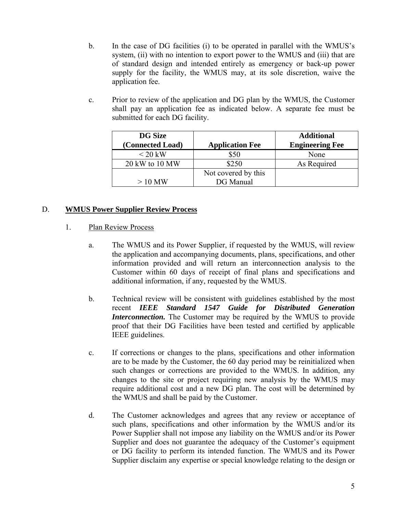- b. In the case of DG facilities (i) to be operated in parallel with the WMUS's system, (ii) with no intention to export power to the WMUS and (iii) that are of standard design and intended entirely as emergency or back-up power supply for the facility, the WMUS may, at its sole discretion, waive the application fee.
- c. Prior to review of the application and DG plan by the WMUS, the Customer shall pay an application fee as indicated below. A separate fee must be submitted for each DG facility.

| <b>DG</b> Size<br>(Connected Load) | <b>Application Fee</b> | <b>Additional</b><br><b>Engineering Fee</b> |
|------------------------------------|------------------------|---------------------------------------------|
| $\leq$ 20 kW                       | \$50                   | None                                        |
| 20 kW to 10 MW                     | \$250                  | As Required                                 |
|                                    | Not covered by this    |                                             |
| $>10$ MW                           | DG Manual              |                                             |

# D. **WMUS Power Supplier Review Process**

- 1. Plan Review Process
	- a. The WMUS and its Power Supplier, if requested by the WMUS, will review the application and accompanying documents, plans, specifications, and other information provided and will return an interconnection analysis to the Customer within 60 days of receipt of final plans and specifications and additional information, if any, requested by the WMUS.
	- b. Technical review will be consistent with guidelines established by the most recent *IEEE Standard 1547 Guide for Distributed Generation Interconnection.* The Customer may be required by the WMUS to provide proof that their DG Facilities have been tested and certified by applicable IEEE guidelines.
	- c. If corrections or changes to the plans, specifications and other information are to be made by the Customer, the 60 day period may be reinitialized when such changes or corrections are provided to the WMUS. In addition, any changes to the site or project requiring new analysis by the WMUS may require additional cost and a new DG plan. The cost will be determined by the WMUS and shall be paid by the Customer.
	- d. The Customer acknowledges and agrees that any review or acceptance of such plans, specifications and other information by the WMUS and/or its Power Supplier shall not impose any liability on the WMUS and/or its Power Supplier and does not guarantee the adequacy of the Customer's equipment or DG facility to perform its intended function. The WMUS and its Power Supplier disclaim any expertise or special knowledge relating to the design or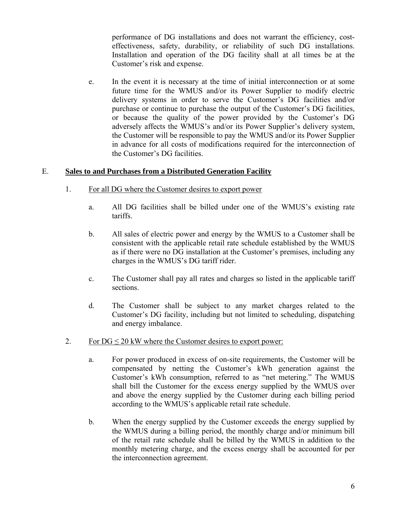performance of DG installations and does not warrant the efficiency, costeffectiveness, safety, durability, or reliability of such DG installations. Installation and operation of the DG facility shall at all times be at the Customer's risk and expense.

e. In the event it is necessary at the time of initial interconnection or at some future time for the WMUS and/or its Power Supplier to modify electric delivery systems in order to serve the Customer's DG facilities and/or purchase or continue to purchase the output of the Customer's DG facilities, or because the quality of the power provided by the Customer's DG adversely affects the WMUS's and/or its Power Supplier's delivery system, the Customer will be responsible to pay the WMUS and/or its Power Supplier in advance for all costs of modifications required for the interconnection of the Customer's DG facilities.

#### E. **Sales to and Purchases from a Distributed Generation Facility**

- 1. For all DG where the Customer desires to export power
	- a. All DG facilities shall be billed under one of the WMUS's existing rate tariffs.
	- b. All sales of electric power and energy by the WMUS to a Customer shall be consistent with the applicable retail rate schedule established by the WMUS as if there were no DG installation at the Customer's premises, including any charges in the WMUS's DG tariff rider.
	- c. The Customer shall pay all rates and charges so listed in the applicable tariff sections.
	- d. The Customer shall be subject to any market charges related to the Customer's DG facility, including but not limited to scheduling, dispatching and energy imbalance.
- 2. For  $DG \leq 20$  kW where the Customer desires to export power:
	- a. For power produced in excess of on-site requirements, the Customer will be compensated by netting the Customer's kWh generation against the Customer's kWh consumption, referred to as "net metering." The WMUS shall bill the Customer for the excess energy supplied by the WMUS over and above the energy supplied by the Customer during each billing period according to the WMUS's applicable retail rate schedule.
	- b. When the energy supplied by the Customer exceeds the energy supplied by the WMUS during a billing period, the monthly charge and/or minimum bill of the retail rate schedule shall be billed by the WMUS in addition to the monthly metering charge, and the excess energy shall be accounted for per the interconnection agreement.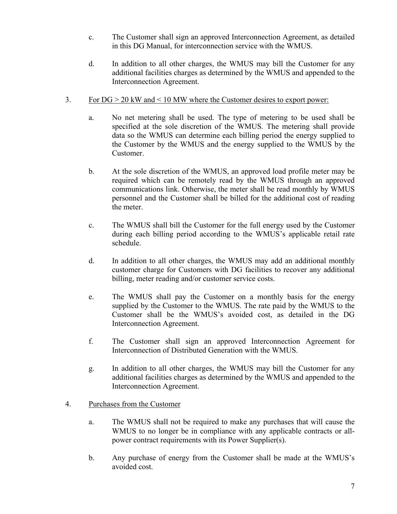- c. The Customer shall sign an approved Interconnection Agreement, as detailed in this DG Manual, for interconnection service with the WMUS.
- d. In addition to all other charges, the WMUS may bill the Customer for any additional facilities charges as determined by the WMUS and appended to the Interconnection Agreement.
- 3. For DG > 20 kW and < 10 MW where the Customer desires to export power:
	- a. No net metering shall be used. The type of metering to be used shall be specified at the sole discretion of the WMUS. The metering shall provide data so the WMUS can determine each billing period the energy supplied to the Customer by the WMUS and the energy supplied to the WMUS by the Customer.
	- b. At the sole discretion of the WMUS, an approved load profile meter may be required which can be remotely read by the WMUS through an approved communications link. Otherwise, the meter shall be read monthly by WMUS personnel and the Customer shall be billed for the additional cost of reading the meter.
	- c. The WMUS shall bill the Customer for the full energy used by the Customer during each billing period according to the WMUS's applicable retail rate schedule.
	- d. In addition to all other charges, the WMUS may add an additional monthly customer charge for Customers with DG facilities to recover any additional billing, meter reading and/or customer service costs.
	- e. The WMUS shall pay the Customer on a monthly basis for the energy supplied by the Customer to the WMUS. The rate paid by the WMUS to the Customer shall be the WMUS's avoided cost, as detailed in the DG Interconnection Agreement.
	- f. The Customer shall sign an approved Interconnection Agreement for Interconnection of Distributed Generation with the WMUS.
	- g. In addition to all other charges, the WMUS may bill the Customer for any additional facilities charges as determined by the WMUS and appended to the Interconnection Agreement.
- 4. Purchases from the Customer
	- a. The WMUS shall not be required to make any purchases that will cause the WMUS to no longer be in compliance with any applicable contracts or allpower contract requirements with its Power Supplier(s).
	- b. Any purchase of energy from the Customer shall be made at the WMUS's avoided cost.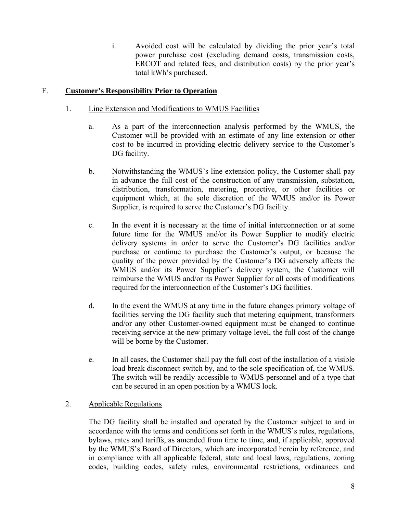i. Avoided cost will be calculated by dividing the prior year's total power purchase cost (excluding demand costs, transmission costs, ERCOT and related fees, and distribution costs) by the prior year's total kWh's purchased.

# F. **Customer's Responsibility Prior to Operation**

- 1. Line Extension and Modifications to WMUS Facilities
	- a. As a part of the interconnection analysis performed by the WMUS, the Customer will be provided with an estimate of any line extension or other cost to be incurred in providing electric delivery service to the Customer's DG facility.
	- b. Notwithstanding the WMUS's line extension policy, the Customer shall pay in advance the full cost of the construction of any transmission, substation, distribution, transformation, metering, protective, or other facilities or equipment which, at the sole discretion of the WMUS and/or its Power Supplier, is required to serve the Customer's DG facility.
	- c. In the event it is necessary at the time of initial interconnection or at some future time for the WMUS and/or its Power Supplier to modify electric delivery systems in order to serve the Customer's DG facilities and/or purchase or continue to purchase the Customer's output, or because the quality of the power provided by the Customer's DG adversely affects the WMUS and/or its Power Supplier's delivery system, the Customer will reimburse the WMUS and/or its Power Supplier for all costs of modifications required for the interconnection of the Customer's DG facilities.
	- d. In the event the WMUS at any time in the future changes primary voltage of facilities serving the DG facility such that metering equipment, transformers and/or any other Customer-owned equipment must be changed to continue receiving service at the new primary voltage level, the full cost of the change will be borne by the Customer.
	- e. In all cases, the Customer shall pay the full cost of the installation of a visible load break disconnect switch by, and to the sole specification of, the WMUS. The switch will be readily accessible to WMUS personnel and of a type that can be secured in an open position by a WMUS lock.

#### 2. Applicable Regulations

The DG facility shall be installed and operated by the Customer subject to and in accordance with the terms and conditions set forth in the WMUS's rules, regulations, bylaws, rates and tariffs, as amended from time to time, and, if applicable, approved by the WMUS's Board of Directors, which are incorporated herein by reference, and in compliance with all applicable federal, state and local laws, regulations, zoning codes, building codes, safety rules, environmental restrictions, ordinances and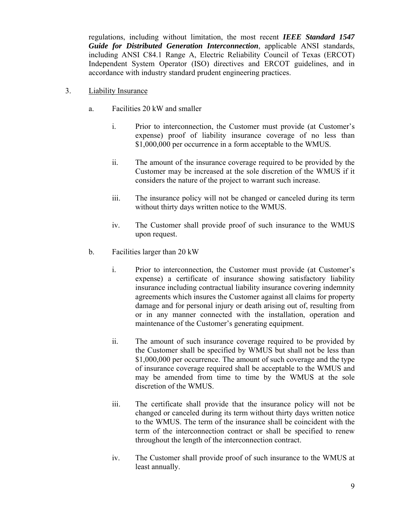regulations, including without limitation, the most recent *IEEE Standard 1547 Guide for Distributed Generation Interconnection*, applicable ANSI standards, including ANSI C84.1 Range A, Electric Reliability Council of Texas (ERCOT) Independent System Operator (ISO) directives and ERCOT guidelines, and in accordance with industry standard prudent engineering practices.

- 3. Liability Insurance
	- a. Facilities 20 kW and smaller
		- i. Prior to interconnection, the Customer must provide (at Customer's expense) proof of liability insurance coverage of no less than \$1,000,000 per occurrence in a form acceptable to the WMUS.
		- ii. The amount of the insurance coverage required to be provided by the Customer may be increased at the sole discretion of the WMUS if it considers the nature of the project to warrant such increase.
		- iii. The insurance policy will not be changed or canceled during its term without thirty days written notice to the WMUS.
		- iv. The Customer shall provide proof of such insurance to the WMUS upon request.
	- b. Facilities larger than 20 kW
		- i. Prior to interconnection, the Customer must provide (at Customer's expense) a certificate of insurance showing satisfactory liability insurance including contractual liability insurance covering indemnity agreements which insures the Customer against all claims for property damage and for personal injury or death arising out of, resulting from or in any manner connected with the installation, operation and maintenance of the Customer's generating equipment.
		- ii. The amount of such insurance coverage required to be provided by the Customer shall be specified by WMUS but shall not be less than \$1,000,000 per occurrence. The amount of such coverage and the type of insurance coverage required shall be acceptable to the WMUS and may be amended from time to time by the WMUS at the sole discretion of the WMUS.
		- iii. The certificate shall provide that the insurance policy will not be changed or canceled during its term without thirty days written notice to the WMUS. The term of the insurance shall be coincident with the term of the interconnection contract or shall be specified to renew throughout the length of the interconnection contract.
		- iv. The Customer shall provide proof of such insurance to the WMUS at least annually.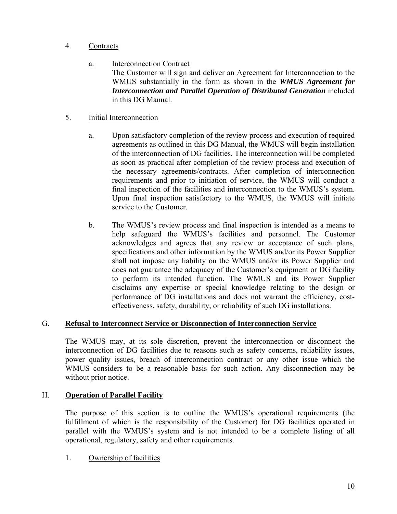#### 4. Contracts

a. Interconnection Contract

The Customer will sign and deliver an Agreement for Interconnection to the WMUS substantially in the form as shown in the *WMUS Agreement for Interconnection and Parallel Operation of Distributed Generation* included in this DG Manual.

### 5. Initial Interconnection

- a. Upon satisfactory completion of the review process and execution of required agreements as outlined in this DG Manual, the WMUS will begin installation of the interconnection of DG facilities. The interconnection will be completed as soon as practical after completion of the review process and execution of the necessary agreements/contracts. After completion of interconnection requirements and prior to initiation of service, the WMUS will conduct a final inspection of the facilities and interconnection to the WMUS's system. Upon final inspection satisfactory to the WMUS, the WMUS will initiate service to the Customer.
- b. The WMUS's review process and final inspection is intended as a means to help safeguard the WMUS's facilities and personnel. The Customer acknowledges and agrees that any review or acceptance of such plans, specifications and other information by the WMUS and/or its Power Supplier shall not impose any liability on the WMUS and/or its Power Supplier and does not guarantee the adequacy of the Customer's equipment or DG facility to perform its intended function. The WMUS and its Power Supplier disclaims any expertise or special knowledge relating to the design or performance of DG installations and does not warrant the efficiency, costeffectiveness, safety, durability, or reliability of such DG installations.

#### G. **Refusal to Interconnect Service or Disconnection of Interconnection Service**

The WMUS may, at its sole discretion, prevent the interconnection or disconnect the interconnection of DG facilities due to reasons such as safety concerns, reliability issues, power quality issues, breach of interconnection contract or any other issue which the WMUS considers to be a reasonable basis for such action. Any disconnection may be without prior notice.

# H. **Operation of Parallel Facility**

The purpose of this section is to outline the WMUS's operational requirements (the fulfillment of which is the responsibility of the Customer) for DG facilities operated in parallel with the WMUS's system and is not intended to be a complete listing of all operational, regulatory, safety and other requirements.

1. Ownership of facilities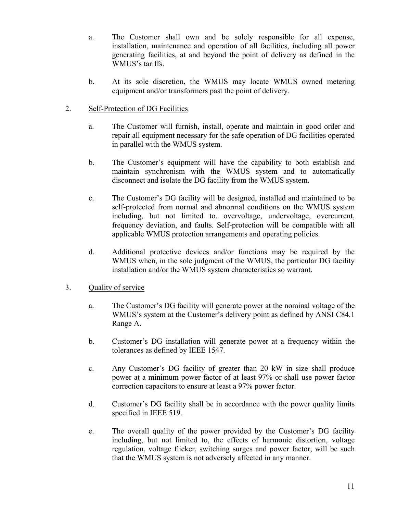- a. The Customer shall own and be solely responsible for all expense, installation, maintenance and operation of all facilities, including all power generating facilities, at and beyond the point of delivery as defined in the WMUS's tariffs.
- b. At its sole discretion, the WMUS may locate WMUS owned metering equipment and/or transformers past the point of delivery.

#### 2. Self-Protection of DG Facilities

- a. The Customer will furnish, install, operate and maintain in good order and repair all equipment necessary for the safe operation of DG facilities operated in parallel with the WMUS system.
- b. The Customer's equipment will have the capability to both establish and maintain synchronism with the WMUS system and to automatically disconnect and isolate the DG facility from the WMUS system.
- c. The Customer's DG facility will be designed, installed and maintained to be self-protected from normal and abnormal conditions on the WMUS system including, but not limited to, overvoltage, undervoltage, overcurrent, frequency deviation, and faults. Self-protection will be compatible with all applicable WMUS protection arrangements and operating policies.
- d. Additional protective devices and/or functions may be required by the WMUS when, in the sole judgment of the WMUS, the particular DG facility installation and/or the WMUS system characteristics so warrant.

#### 3. Quality of service

- a. The Customer's DG facility will generate power at the nominal voltage of the WMUS's system at the Customer's delivery point as defined by ANSI C84.1 Range A.
- b. Customer's DG installation will generate power at a frequency within the tolerances as defined by IEEE 1547.
- c. Any Customer's DG facility of greater than 20 kW in size shall produce power at a minimum power factor of at least 97% or shall use power factor correction capacitors to ensure at least a 97% power factor.
- d. Customer's DG facility shall be in accordance with the power quality limits specified in IEEE 519.
- e. The overall quality of the power provided by the Customer's DG facility including, but not limited to, the effects of harmonic distortion, voltage regulation, voltage flicker, switching surges and power factor, will be such that the WMUS system is not adversely affected in any manner.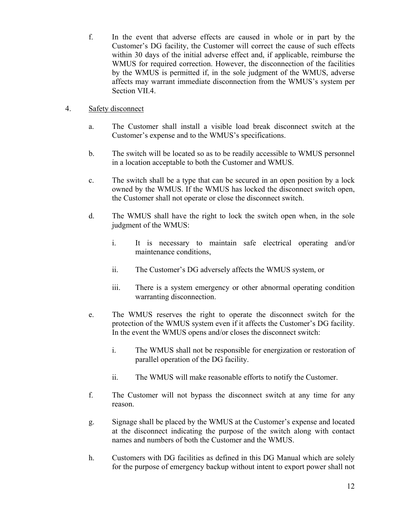f. In the event that adverse effects are caused in whole or in part by the Customer's DG facility, the Customer will correct the cause of such effects within 30 days of the initial adverse effect and, if applicable, reimburse the WMUS for required correction. However, the disconnection of the facilities by the WMUS is permitted if, in the sole judgment of the WMUS, adverse affects may warrant immediate disconnection from the WMUS's system per Section VII.4.

#### 4. Safety disconnect

- a. The Customer shall install a visible load break disconnect switch at the Customer's expense and to the WMUS's specifications.
- b. The switch will be located so as to be readily accessible to WMUS personnel in a location acceptable to both the Customer and WMUS.
- c. The switch shall be a type that can be secured in an open position by a lock owned by the WMUS. If the WMUS has locked the disconnect switch open, the Customer shall not operate or close the disconnect switch.
- d. The WMUS shall have the right to lock the switch open when, in the sole judgment of the WMUS:
	- i. It is necessary to maintain safe electrical operating and/or maintenance conditions,
	- ii. The Customer's DG adversely affects the WMUS system, or
	- iii. There is a system emergency or other abnormal operating condition warranting disconnection.
- e. The WMUS reserves the right to operate the disconnect switch for the protection of the WMUS system even if it affects the Customer's DG facility. In the event the WMUS opens and/or closes the disconnect switch:
	- i. The WMUS shall not be responsible for energization or restoration of parallel operation of the DG facility.
	- ii. The WMUS will make reasonable efforts to notify the Customer.
- f. The Customer will not bypass the disconnect switch at any time for any reason.
- g. Signage shall be placed by the WMUS at the Customer's expense and located at the disconnect indicating the purpose of the switch along with contact names and numbers of both the Customer and the WMUS.
- h. Customers with DG facilities as defined in this DG Manual which are solely for the purpose of emergency backup without intent to export power shall not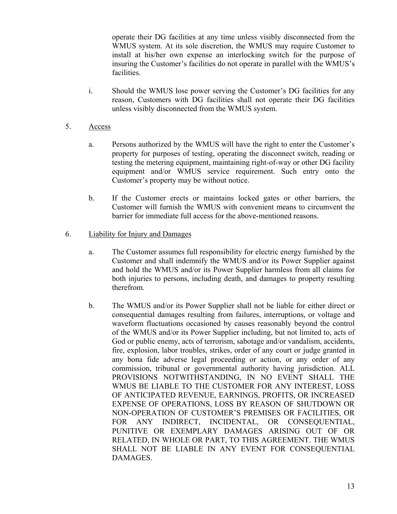operate their DG facilities at any time unless visibly disconnected from the WMUS system. At its sole discretion, the WMUS may require Customer to install at his/her own expense an interlocking switch for the purpose of insuring the Customer's facilities do not operate in parallel with the WMUS's facilities.

i. Should the WMUS lose power serving the Customer's DG facilities for any reason, Customers with DG facilities shall not operate their DG facilities unless visibly disconnected from the WMUS system.

#### 5. Access

- a. Persons authorized by the WMUS will have the right to enter the Customer's property for purposes of testing, operating the disconnect switch, reading or testing the metering equipment, maintaining right-of-way or other DG facility equipment and/or WMUS service requirement. Such entry onto the Customer's property may be without notice.
- b. If the Customer erects or maintains locked gates or other barriers, the Customer will furnish the WMUS with convenient means to circumvent the barrier for immediate full access for the above-mentioned reasons.

#### 6. Liability for Injury and Damages

- a. The Customer assumes full responsibility for electric energy furnished by the Customer and shall indemnify the WMUS and/or its Power Supplier against and hold the WMUS and/or its Power Supplier harmless from all claims for both injuries to persons, including death, and damages to property resulting therefrom.
- b. The WMUS and/or its Power Supplier shall not be liable for either direct or consequential damages resulting from failures, interruptions, or voltage and waveform fluctuations occasioned by causes reasonably beyond the control of the WMUS and/or its Power Supplier including, but not limited to, acts of God or public enemy, acts of terrorism, sabotage and/or vandalism, accidents, fire, explosion, labor troubles, strikes, order of any court or judge granted in any bona fide adverse legal proceeding or action, or any order of any commission, tribunal or governmental authority having jurisdiction. ALL PROVISIONS NOTWITHSTANDING, IN NO EVENT SHALL THE WMUS BE LIABLE TO THE CUSTOMER FOR ANY INTEREST, LOSS OF ANTICIPATED REVENUE, EARNINGS, PROFITS, OR INCREASED EXPENSE OF OPERATIONS, LOSS BY REASON OF SHUTDOWN OR NON-OPERATION OF CUSTOMER'S PREMISES OR FACILITIES, OR FOR ANY INDIRECT, INCIDENTAL, OR CONSEQUENTIAL, PUNITIVE OR EXEMPLARY DAMAGES ARISING OUT OF OR RELATED, IN WHOLE OR PART, TO THIS AGREEMENT. THE WMUS SHALL NOT BE LIABLE IN ANY EVENT FOR CONSEQUENTIAL DAMAGES.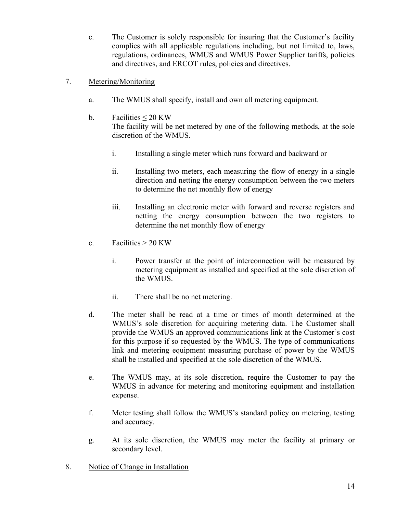- c. The Customer is solely responsible for insuring that the Customer's facility complies with all applicable regulations including, but not limited to, laws, regulations, ordinances, WMUS and WMUS Power Supplier tariffs, policies and directives, and ERCOT rules, policies and directives.
- 7. Metering/Monitoring
	- a. The WMUS shall specify, install and own all metering equipment.
	- b. Facilities  $\leq 20$  KW The facility will be net metered by one of the following methods, at the sole discretion of the WMUS.
		- i. Installing a single meter which runs forward and backward or
		- ii. Installing two meters, each measuring the flow of energy in a single direction and netting the energy consumption between the two meters to determine the net monthly flow of energy
		- iii. Installing an electronic meter with forward and reverse registers and netting the energy consumption between the two registers to determine the net monthly flow of energy
	- c. Facilities  $> 20$  KW
		- i. Power transfer at the point of interconnection will be measured by metering equipment as installed and specified at the sole discretion of the WMUS.
		- ii. There shall be no net metering.
	- d. The meter shall be read at a time or times of month determined at the WMUS's sole discretion for acquiring metering data. The Customer shall provide the WMUS an approved communications link at the Customer's cost for this purpose if so requested by the WMUS. The type of communications link and metering equipment measuring purchase of power by the WMUS shall be installed and specified at the sole discretion of the WMUS.
	- e. The WMUS may, at its sole discretion, require the Customer to pay the WMUS in advance for metering and monitoring equipment and installation expense.
	- f. Meter testing shall follow the WMUS's standard policy on metering, testing and accuracy.
	- g. At its sole discretion, the WMUS may meter the facility at primary or secondary level.
- 8. Notice of Change in Installation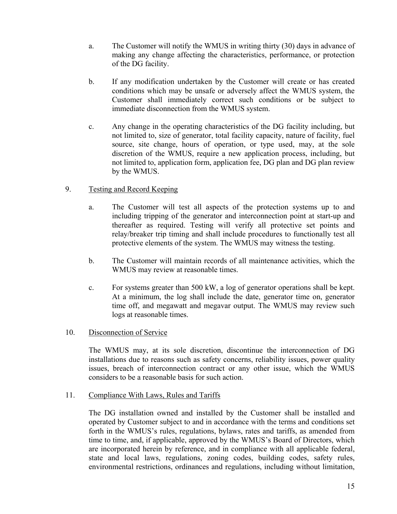- a. The Customer will notify the WMUS in writing thirty (30) days in advance of making any change affecting the characteristics, performance, or protection of the DG facility.
- b. If any modification undertaken by the Customer will create or has created conditions which may be unsafe or adversely affect the WMUS system, the Customer shall immediately correct such conditions or be subject to immediate disconnection from the WMUS system.
- c. Any change in the operating characteristics of the DG facility including, but not limited to, size of generator, total facility capacity, nature of facility, fuel source, site change, hours of operation, or type used, may, at the sole discretion of the WMUS, require a new application process, including, but not limited to, application form, application fee, DG plan and DG plan review by the WMUS.

#### 9. Testing and Record Keeping

- a. The Customer will test all aspects of the protection systems up to and including tripping of the generator and interconnection point at start-up and thereafter as required. Testing will verify all protective set points and relay/breaker trip timing and shall include procedures to functionally test all protective elements of the system. The WMUS may witness the testing.
- b. The Customer will maintain records of all maintenance activities, which the WMUS may review at reasonable times.
- c. For systems greater than 500 kW, a log of generator operations shall be kept. At a minimum, the log shall include the date, generator time on, generator time off, and megawatt and megavar output. The WMUS may review such logs at reasonable times.

#### 10. Disconnection of Service

The WMUS may, at its sole discretion, discontinue the interconnection of DG installations due to reasons such as safety concerns, reliability issues, power quality issues, breach of interconnection contract or any other issue, which the WMUS considers to be a reasonable basis for such action.

#### 11. Compliance With Laws, Rules and Tariffs

The DG installation owned and installed by the Customer shall be installed and operated by Customer subject to and in accordance with the terms and conditions set forth in the WMUS's rules, regulations, bylaws, rates and tariffs, as amended from time to time, and, if applicable, approved by the WMUS's Board of Directors, which are incorporated herein by reference, and in compliance with all applicable federal, state and local laws, regulations, zoning codes, building codes, safety rules, environmental restrictions, ordinances and regulations, including without limitation,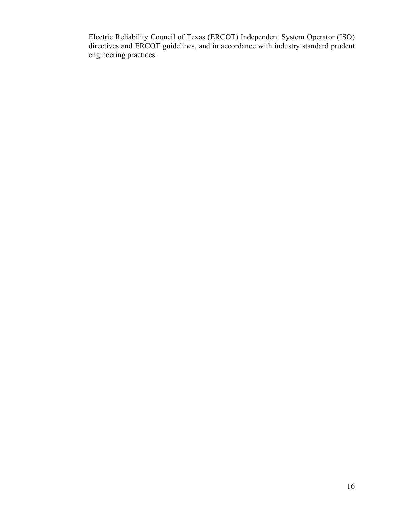Electric Reliability Council of Texas (ERCOT) Independent System Operator (ISO) directives and ERCOT guidelines, and in accordance with industry standard prudent engineering practices.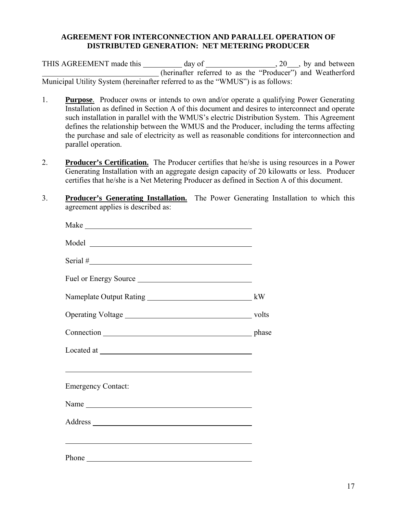#### **AGREEMENT FOR INTERCONNECTION AND PARALLEL OPERATION OF DISTRIBUTED GENERATION: NET METERING PRODUCER**

THIS AGREEMENT made this day of , 20, by and between (herinafter referred to as the "Producer") and Weatherford Municipal Utility System (hereinafter referred to as the "WMUS") is as follows:

- 1. **Purpose**. Producer owns or intends to own and/or operate a qualifying Power Generating Installation as defined in Section A of this document and desires to interconnect and operate such installation in parallel with the WMUS's electric Distribution System. This Agreement defines the relationship between the WMUS and the Producer, including the terms affecting the purchase and sale of electricity as well as reasonable conditions for interconnection and parallel operation.
- 2. **Producer's Certification.** The Producer certifies that he/she is using resources in a Power Generating Installation with an aggregate design capacity of 20 kilowatts or less. Producer certifies that he/she is a Net Metering Producer as defined in Section A of this document.
- 3. **Producer's Generating Installation.** The Power Generating Installation to which this agreement applies is described as:

| Fuel or Energy Source                                                                                               |  |
|---------------------------------------------------------------------------------------------------------------------|--|
|                                                                                                                     |  |
|                                                                                                                     |  |
|                                                                                                                     |  |
|                                                                                                                     |  |
| and the contract of the contract of the contract of the contract of the contract of the contract of the contract of |  |
| <b>Emergency Contact:</b>                                                                                           |  |
|                                                                                                                     |  |
|                                                                                                                     |  |
|                                                                                                                     |  |
|                                                                                                                     |  |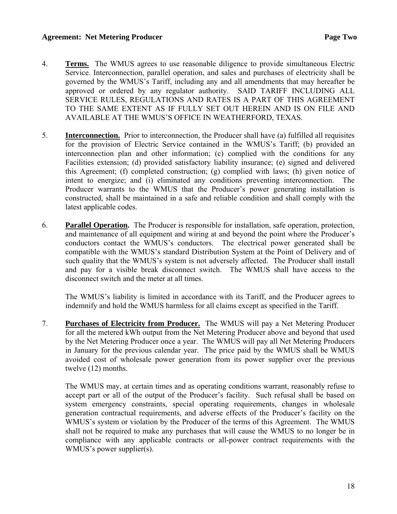#### Agreement: Net Metering Producer **Page Two Page Two**

- 4. **Terms.** The WMUS agrees to use reasonable diligence to provide simultaneous Electric Service. Interconnection, parallel operation, and sales and purchases of electricity shall be governed by the WMUS's Tariff, including any and all amendments that may hereafter be approved or ordered by any regulator authority. SAID TARIFF INCLUDING ALL SERVICE RULES, REGULATIONS AND RATES IS A PART OF THIS AGREEMENT TO THE SAME EXTENT AS IF FULLY SET OUT HEREIN AND IS ON FILE AND AVAILABLE AT THE WMUS'S OFFICE IN WEATHERFORD, TEXAS.
- 5. **Interconnection.** Prior to interconnection, the Producer shall have (a) fulfilled all requisites for the provision of Electric Service contained in the WMUS's Tariff; (b) provided an interconnection plan and other information; (c) complied with the conditions for any Facilities extension; (d) provided satisfactory liability insurance; (e) signed and delivered this Agreement; (f) completed construction; (g) complied with laws; (h) given notice of intent to energize; and (i) eliminated any conditions preventing interconnection. The Producer warrants to the WMUS that the Producer's power generating installation is constructed, shall be maintained in a safe and reliable condition and shall comply with the latest applicable codes.
- 6. **Parallel Operation.** The Producer is responsible for installation, safe operation, protection, and maintenance of all equipment and wiring at and beyond the point where the Producer's conductors contact the WMUS's conductors. The electrical power generated shall be compatible with the WMUS's standard Distribution System at the Point of Delivery and of such quality that the WMUS's system is not adversely affected. The Producer shall install and pay for a visible break disconnect switch. The WMUS shall have access to the disconnect switch and the meter at all times.

The WMUS's liability is limited in accordance with its Tariff, and the Producer agrees to indemnify and hold the WMUS harmless for all claims except as specified in the Tariff.

7. **Purchases of Electricity from Producer.** The WMUS will pay a Net Metering Producer for all the metered kWh output from the Net Metering Producer above and beyond that used by the Net Metering Producer once a year. The WMUS will pay all Net Metering Producers in January for the previous calendar year. The price paid by the WMUS shall be WMUS avoided cost of wholesale power generation from its power supplier over the previous twelve (12) months.

The WMUS may, at certain times and as operating conditions warrant, reasonably refuse to accept part or all of the output of the Producer's facility. Such refusal shall be based on system emergency constraints, special operating requirements, changes in wholesale generation contractual requirements, and adverse effects of the Producer's facility on the WMUS's system or violation by the Producer of the terms of this Agreement. The WMUS shall not be required to make any purchases that will cause the WMUS to no longer be in compliance with any applicable contracts or all-power contract requirements with the WMUS's power supplier(s).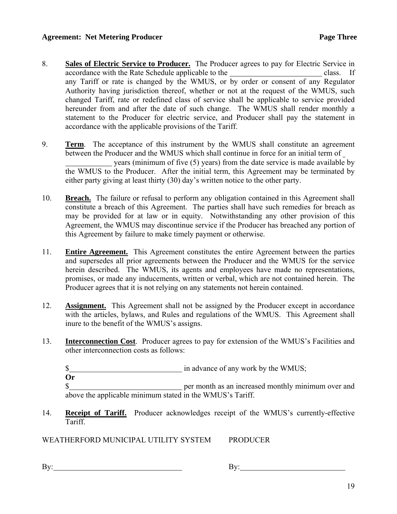- 8. **Sales of Electric Service to Producer.** The Producer agrees to pay for Electric Service in accordance with the Rate Schedule applicable to the class. If any Tariff or rate is changed by the WMUS, or by order or consent of any Regulator Authority having jurisdiction thereof, whether or not at the request of the WMUS, such changed Tariff, rate or redefined class of service shall be applicable to service provided hereunder from and after the date of such change. The WMUS shall render monthly a statement to the Producer for electric service, and Producer shall pay the statement in accordance with the applicable provisions of the Tariff.
- 9. **Term**. The acceptance of this instrument by the WMUS shall constitute an agreement between the Producer and the WMUS which shall continue in force for an initial term of years (minimum of five (5) years) from the date service is made available by the WMUS to the Producer. After the initial term, this Agreement may be terminated by either party giving at least thirty (30) day's written notice to the other party.
- 10. **Breach.** The failure or refusal to perform any obligation contained in this Agreement shall constitute a breach of this Agreement. The parties shall have such remedies for breach as may be provided for at law or in equity. Notwithstanding any other provision of this Agreement, the WMUS may discontinue service if the Producer has breached any portion of this Agreement by failure to make timely payment or otherwise.
- 11. **Entire Agreement.** This Agreement constitutes the entire Agreement between the parties and supersedes all prior agreements between the Producer and the WMUS for the service herein described. The WMUS, its agents and employees have made no representations, promises, or made any inducements, written or verbal, which are not contained herein. The Producer agrees that it is not relying on any statements not herein contained.
- 12. **Assignment.** This Agreement shall not be assigned by the Producer except in accordance with the articles, bylaws, and Rules and regulations of the WMUS. This Agreement shall inure to the benefit of the WMUS's assigns.
- 13. **Interconnection Cost**. Producer agrees to pay for extension of the WMUS's Facilities and other interconnection costs as follows:

\$

**Or** 

\$ above the applicable minimum stated in the WMUS's Tariff.

14. **Receipt of Tariff.** Producer acknowledges receipt of the WMUS's currently-effective Tariff.

WEATHERFORD MUNICIPAL UTILITY SYSTEM PRODUCER

By: By: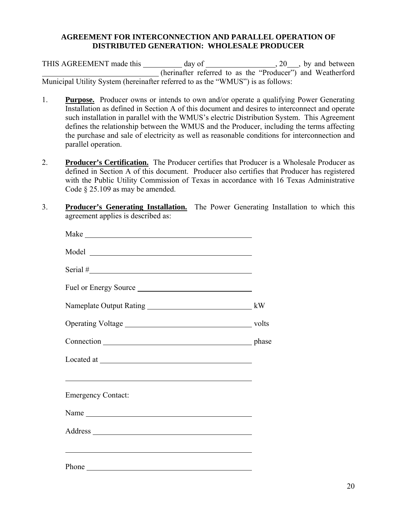#### **AGREEMENT FOR INTERCONNECTION AND PARALLEL OPERATION OF DISTRIBUTED GENERATION: WHOLESALE PRODUCER**

THIS AGREEMENT made this day of 3.20 , by and between (herinafter referred to as the "Producer") and Weatherford Municipal Utility System (hereinafter referred to as the "WMUS") is as follows:

- 1. **Purpose.** Producer owns or intends to own and/or operate a qualifying Power Generating Installation as defined in Section A of this document and desires to interconnect and operate such installation in parallel with the WMUS's electric Distribution System. This Agreement defines the relationship between the WMUS and the Producer, including the terms affecting the purchase and sale of electricity as well as reasonable conditions for interconnection and parallel operation.
- 2. **Producer's Certification.** The Producer certifies that Producer is a Wholesale Producer as defined in Section A of this document. Producer also certifies that Producer has registered with the Public Utility Commission of Texas in accordance with 16 Texas Administrative Code § 25.109 as may be amended.
- 3. **Producer's Generating Installation.** The Power Generating Installation to which this agreement applies is described as:

| Serial $#$                |  |
|---------------------------|--|
| Fuel or Energy Source     |  |
|                           |  |
|                           |  |
|                           |  |
|                           |  |
|                           |  |
| <b>Emergency Contact:</b> |  |
| Name                      |  |
|                           |  |
|                           |  |
|                           |  |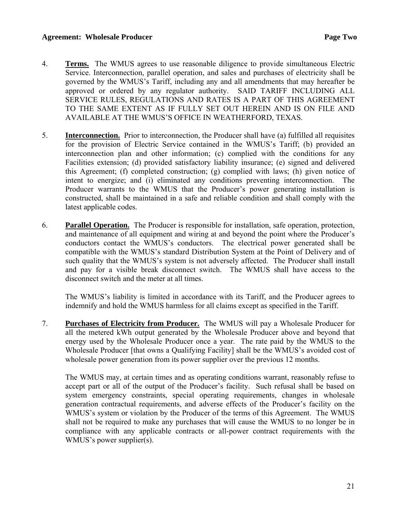#### **Agreement: Wholesale Producer Page Two Page Two**

- 4. **Terms.** The WMUS agrees to use reasonable diligence to provide simultaneous Electric Service. Interconnection, parallel operation, and sales and purchases of electricity shall be governed by the WMUS's Tariff, including any and all amendments that may hereafter be approved or ordered by any regulator authority. SAID TARIFF INCLUDING ALL SERVICE RULES, REGULATIONS AND RATES IS A PART OF THIS AGREEMENT TO THE SAME EXTENT AS IF FULLY SET OUT HEREIN AND IS ON FILE AND AVAILABLE AT THE WMUS'S OFFICE IN WEATHERFORD, TEXAS.
- 5. **Interconnection.** Prior to interconnection, the Producer shall have (a) fulfilled all requisites for the provision of Electric Service contained in the WMUS's Tariff; (b) provided an interconnection plan and other information; (c) complied with the conditions for any Facilities extension; (d) provided satisfactory liability insurance; (e) signed and delivered this Agreement; (f) completed construction; (g) complied with laws; (h) given notice of intent to energize; and (i) eliminated any conditions preventing interconnection. The Producer warrants to the WMUS that the Producer's power generating installation is constructed, shall be maintained in a safe and reliable condition and shall comply with the latest applicable codes.
- 6. **Parallel Operation.** The Producer is responsible for installation, safe operation, protection, and maintenance of all equipment and wiring at and beyond the point where the Producer's conductors contact the WMUS's conductors. The electrical power generated shall be compatible with the WMUS's standard Distribution System at the Point of Delivery and of such quality that the WMUS's system is not adversely affected. The Producer shall install and pay for a visible break disconnect switch. The WMUS shall have access to the disconnect switch and the meter at all times.

The WMUS's liability is limited in accordance with its Tariff, and the Producer agrees to indemnify and hold the WMUS harmless for all claims except as specified in the Tariff.

7. **Purchases of Electricity from Producer.** The WMUS will pay a Wholesale Producer for all the metered kWh output generated by the Wholesale Producer above and beyond that energy used by the Wholesale Producer once a year. The rate paid by the WMUS to the Wholesale Producer [that owns a Qualifying Facility] shall be the WMUS's avoided cost of wholesale power generation from its power supplier over the previous 12 months.

The WMUS may, at certain times and as operating conditions warrant, reasonably refuse to accept part or all of the output of the Producer's facility. Such refusal shall be based on system emergency constraints, special operating requirements, changes in wholesale generation contractual requirements, and adverse effects of the Producer's facility on the WMUS's system or violation by the Producer of the terms of this Agreement. The WMUS shall not be required to make any purchases that will cause the WMUS to no longer be in compliance with any applicable contracts or all-power contract requirements with the WMUS's power supplier(s).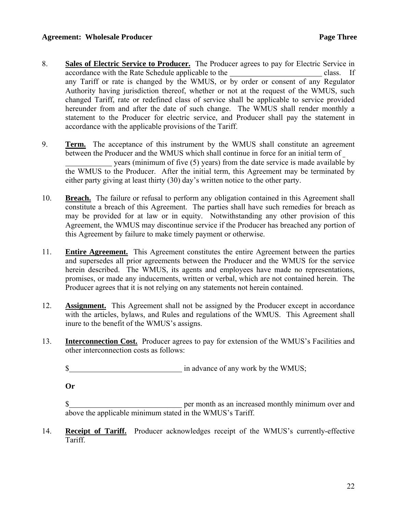- 8. **Sales of Electric Service to Producer.** The Producer agrees to pay for Electric Service in accordance with the Rate Schedule applicable to the class. If any Tariff or rate is changed by the WMUS, or by order or consent of any Regulator Authority having jurisdiction thereof, whether or not at the request of the WMUS, such changed Tariff, rate or redefined class of service shall be applicable to service provided hereunder from and after the date of such change. The WMUS shall render monthly a statement to the Producer for electric service, and Producer shall pay the statement in accordance with the applicable provisions of the Tariff.
- 9. **Term.** The acceptance of this instrument by the WMUS shall constitute an agreement between the Producer and the WMUS which shall continue in force for an initial term of years (minimum of five (5) years) from the date service is made available by the WMUS to the Producer. After the initial term, this Agreement may be terminated by either party giving at least thirty (30) day's written notice to the other party.
- 10. **Breach.** The failure or refusal to perform any obligation contained in this Agreement shall constitute a breach of this Agreement. The parties shall have such remedies for breach as may be provided for at law or in equity. Notwithstanding any other provision of this Agreement, the WMUS may discontinue service if the Producer has breached any portion of this Agreement by failure to make timely payment or otherwise.
- 11. **Entire Agreement.** This Agreement constitutes the entire Agreement between the parties and supersedes all prior agreements between the Producer and the WMUS for the service herein described. The WMUS, its agents and employees have made no representations, promises, or made any inducements, written or verbal, which are not contained herein. The Producer agrees that it is not relying on any statements not herein contained.
- 12. **Assignment.** This Agreement shall not be assigned by the Producer except in accordance with the articles, bylaws, and Rules and regulations of the WMUS. This Agreement shall inure to the benefit of the WMUS's assigns.
- 13. **Interconnection Cost.** Producer agrees to pay for extension of the WMUS's Facilities and other interconnection costs as follows:
	- \$ in advance of any work by the WMUS;

**Or** 

\$ above the applicable minimum stated in the WMUS's Tariff.

14. **Receipt of Tariff.** Producer acknowledges receipt of the WMUS's currently-effective Tariff.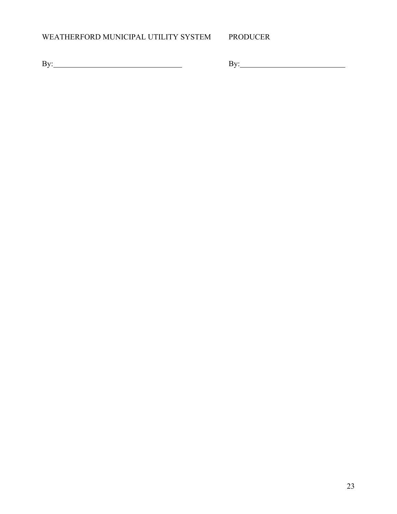# WEATHERFORD MUNICIPAL UTILITY SYSTEM PRODUCER

By: By: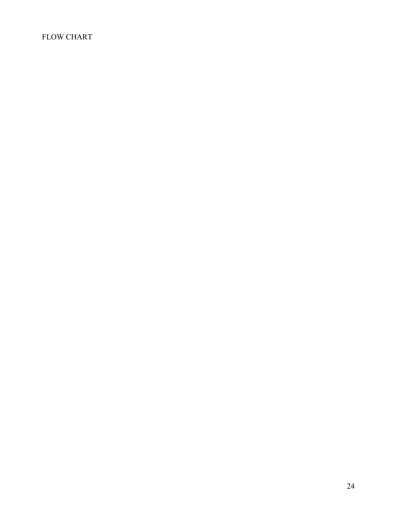# FLOW CHART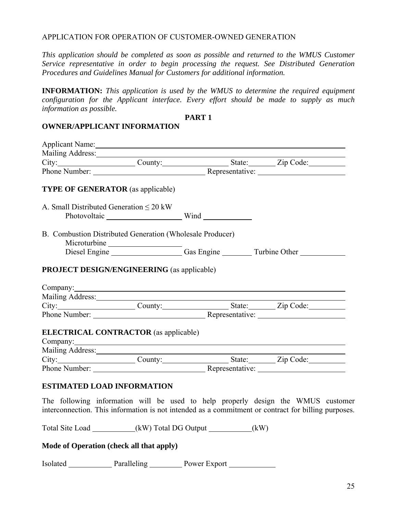#### APPLICATION FOR OPERATION OF CUSTOMER-OWNED GENERATION

*This application should be completed as soon as possible and returned to the WMUS Customer Service representative in order to begin processing the request. See Distributed Generation Procedures and Guidelines Manual for Customers for additional information.* 

**INFORMATION:** *This application is used by the WMUS to determine the required equipment configuration for the Applicant interface. Every effort should be made to supply as much information as possible.* 

#### **PART 1**

#### **OWNER/APPLICANT INFORMATION**

| Applicant Name:                                                                                                                                                                                                                                                                          |                   |  |
|------------------------------------------------------------------------------------------------------------------------------------------------------------------------------------------------------------------------------------------------------------------------------------------|-------------------|--|
|                                                                                                                                                                                                                                                                                          |                   |  |
|                                                                                                                                                                                                                                                                                          |                   |  |
|                                                                                                                                                                                                                                                                                          |                   |  |
| <b>TYPE OF GENERATOR</b> (as applicable)                                                                                                                                                                                                                                                 |                   |  |
| A. Small Distributed Generation $\leq 20$ kW                                                                                                                                                                                                                                             | Photovoltaic Wind |  |
| B. Combustion Distributed Generation (Wholesale Producer)                                                                                                                                                                                                                                |                   |  |
|                                                                                                                                                                                                                                                                                          |                   |  |
| <b>PROJECT DESIGN/ENGINEERING</b> (as applicable)<br>Company: <u>company</u> company company company company company company company company company company company company company company company company company company company company company company company company company com |                   |  |
| City:______________________County:_____________________State:__________Zip Code:____________________                                                                                                                                                                                     |                   |  |
| Phone Number: <u>Number</u> Representative:                                                                                                                                                                                                                                              |                   |  |
| <b>ELECTRICAL CONTRACTOR</b> (as applicable)                                                                                                                                                                                                                                             |                   |  |
|                                                                                                                                                                                                                                                                                          |                   |  |
| Phone Number: <u>Nepresentative:</u> Representative:                                                                                                                                                                                                                                     |                   |  |
| <b>ESTIMATED LOAD INFORMATION</b><br>The following information will be used to help properly design the WMUS customer                                                                                                                                                                    |                   |  |
| interconnection. This information is not intended as a commitment or contract for billing purposes.                                                                                                                                                                                      |                   |  |

Total Site Load \_\_\_\_\_\_\_\_\_\_\_(kW) Total DG Output \_\_\_\_\_\_\_\_\_\_(kW)

#### **Mode of Operation (check all that apply)**

Isolated Paralleling Power Export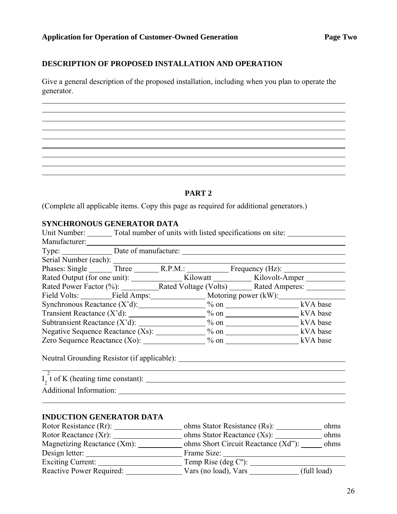#### **DESCRIPTION OF PROPOSED INSTALLATION AND OPERATION**

Give a general description of the proposed installation, including when you plan to operate the generator.

#### **PART 2**

(Complete all applicable items. Copy this page as required for additional generators.)

# **SYNCHRONOUS GENERATOR DATA**<br> *LInit Number*<br> **Cotal number of units**

 $\overline{a}$ 

| Unit Number: ________ Total number of units with listed specifications on site: ___________________ |  |                                  |
|-----------------------------------------------------------------------------------------------------|--|----------------------------------|
| Manufacturer:                                                                                       |  |                                  |
|                                                                                                     |  |                                  |
|                                                                                                     |  |                                  |
| Serial Number (each): Three R.P.M.: Frequency (Hz):                                                 |  |                                  |
|                                                                                                     |  |                                  |
| Rated Power Factor (%): Rated Voltage (Volts) Rated Amperes: ___________________                    |  |                                  |
| Field Volts: _________Field Amps: _____________________ Motoring power (kW): ______________________ |  |                                  |
| Synchronous Reactance $(X'd)$ : $\hspace{1.5cm}$ % on $\hspace{1.5cm}$ kVA base                     |  |                                  |
| Transient Reactance $(X'd)$ : $\hspace{2.5cm}$ % on $\hspace{2.5cm}$ XVA base                       |  |                                  |
|                                                                                                     |  |                                  |
|                                                                                                     |  |                                  |
|                                                                                                     |  |                                  |
| $\overline{2}$                                                                                      |  |                                  |
|                                                                                                     |  |                                  |
|                                                                                                     |  |                                  |
| <b>INDUCTION GENERATOR DATA</b>                                                                     |  |                                  |
|                                                                                                     |  |                                  |
|                                                                                                     |  |                                  |
| Magnetizing Reactance (Xm): _____________ ohms Short Circuit Reactance (Xd"): ______ ohms           |  |                                  |
|                                                                                                     |  |                                  |
|                                                                                                     |  |                                  |
| Reactive Power Required:                                                                            |  | Vars (no load), Vars (full load) |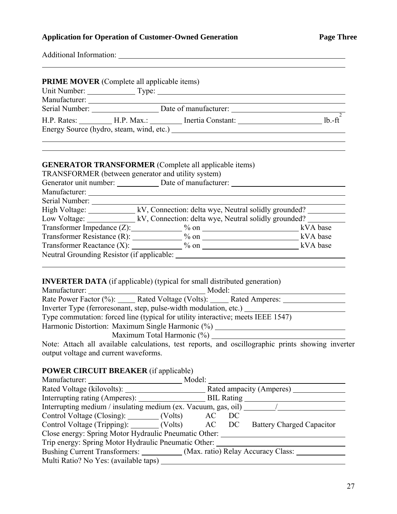# **Application for Operation of Customer-Owned Generation Page Three**

| <b>Additional Information:</b> |
|--------------------------------|
|                                |

 $\overline{a}$ 

| <b>PRIME MOVER</b> (Complete all applicable items)                                                                                                                                                                                                                                                                                                                                                                               |                                                              |  |
|----------------------------------------------------------------------------------------------------------------------------------------------------------------------------------------------------------------------------------------------------------------------------------------------------------------------------------------------------------------------------------------------------------------------------------|--------------------------------------------------------------|--|
|                                                                                                                                                                                                                                                                                                                                                                                                                                  |                                                              |  |
|                                                                                                                                                                                                                                                                                                                                                                                                                                  |                                                              |  |
|                                                                                                                                                                                                                                                                                                                                                                                                                                  |                                                              |  |
| TRANSFORMER (between generator and utility system)<br>$C_{\alpha}$ $D_{\alpha}$ $D_{\alpha}$ $D_{\alpha}$ $D_{\alpha}$ $D_{\alpha}$ $D_{\alpha}$ $D_{\alpha}$ $D_{\alpha}$ $D_{\alpha}$ $D_{\alpha}$ $D_{\alpha}$ $D_{\alpha}$ $D_{\alpha}$ $D_{\alpha}$ $D_{\alpha}$ $D_{\alpha}$ $D_{\alpha}$ $D_{\alpha}$ $D_{\alpha}$ $D_{\alpha}$ $D_{\alpha}$ $D_{\alpha}$ $D_{\alpha}$ $D_{\alpha}$ $D_{\alpha}$ $D_{\alpha}$ $D_{\alpha$ | <b>GENERATOR TRANSFORMER</b> (Complete all applicable items) |  |

|                                            | Generator unit number: Date of manufacturer:                                             |          |
|--------------------------------------------|------------------------------------------------------------------------------------------|----------|
| Manufacturer:                              |                                                                                          |          |
| Serial Number:                             |                                                                                          |          |
|                                            | High Voltage: <u>______________</u> kV, Connection: delta wye, Neutral solidly grounded? |          |
|                                            | Low Voltage: kV, Connection: delta wye, Neutral solidly grounded?                        |          |
|                                            | Transformer Impedance $(Z)$ : $\qquad \qquad \frac{9}{6}$ on                             | kVA base |
|                                            | Transformer Resistance $(R)$ : $\_\_\_\_\_\_$ % on                                       | kVA base |
|                                            | Transformer Reactance $(X)$ : $\%$ on                                                    | kVA base |
| Neutral Grounding Resistor (if applicable: |                                                                                          |          |
|                                            |                                                                                          |          |

# **INVERTER DATA** (if applicable) (typical for small distributed generation)

| Manufacturer:                                                                                     | Model: |  |
|---------------------------------------------------------------------------------------------------|--------|--|
| Rate Power Factor (%): Rated Voltage (Volts): Rated Amperes:                                      |        |  |
| Inverter Type (ferroresonant, step, pulse-width modulation, etc.)                                 |        |  |
| Type commutation: forced line (typical for utility interactive; meets IEEE 1547)                  |        |  |
| Harmonic Distortion: Maximum Single Harmonic (%)                                                  |        |  |
| Maximum Total Harmonic (%)                                                                        |        |  |
| Note: Attach all available calculations, test reports, and oscillographic prints showing inverter |        |  |

output voltage and current waveforms.

# **POWER CIRCUIT BREAKER** (if applicable)

| Manufacturer:                                                                         | Model:                                                              |
|---------------------------------------------------------------------------------------|---------------------------------------------------------------------|
|                                                                                       | Rated ampacity (Amperes)                                            |
|                                                                                       |                                                                     |
|                                                                                       |                                                                     |
| Control Voltage (Closing): ________ (Volts) AC DC                                     |                                                                     |
|                                                                                       | Control Voltage (Tripping): (Volts) AC DC Battery Charged Capacitor |
| Close energy: Spring Motor Hydraulic Pneumatic Other:                                 |                                                                     |
| Trip energy: Spring Motor Hydraulic Pneumatic Other:                                  |                                                                     |
| Bushing Current Transformers: ____________ (Max. ratio) Relay Accuracy Class: _______ |                                                                     |
| Multi Ratio? No Yes: (available taps)                                                 |                                                                     |